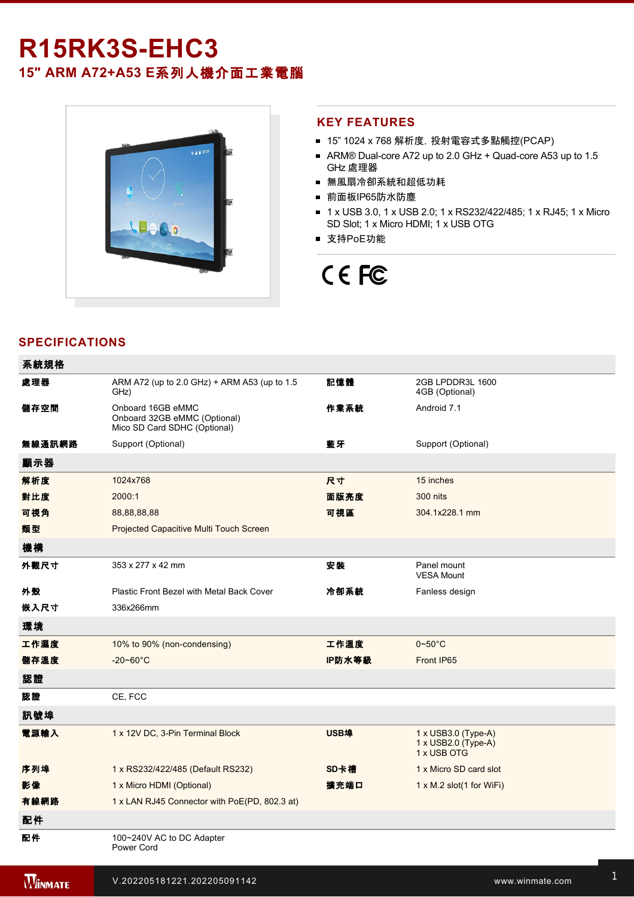# **R15RK3SEHC3**

**15" ARM A72+A53 E**系列人機介面工業電腦



#### **KEY FEATURES**

- 15" 1024 x 768 解析度, 投射電容式多點觸控(PCAP)
- ARM® Dual-core A72 up to 2.0 GHz + Quad-core A53 up to 1.5 GHz 處理器
- 無風扇冷卻系統和超低功耗
- 前面板IP65防水防塵
- 1 x USB 3.0, 1 x USB 2.0; 1 x RS232/422/485; 1 x RJ45; 1 x Micro SD Slot; 1 x Micro HDMI; 1 x USB OTG
- 支持PoE功能

# CE FC

## **SPECIFICATIONS**

電源

| 系統規格           |                                                                                   |             |                                                                  |
|----------------|-----------------------------------------------------------------------------------|-------------|------------------------------------------------------------------|
| 處理器            | ARM A72 (up to 2.0 GHz) + ARM A53 (up to 1.5<br>GHz)                              | 記憶體         | 2GB LPDDR3L 1600<br>4GB (Optional)                               |
| 儲存空間           | Onboard 16GB eMMC<br>Onboard 32GB eMMC (Optional)<br>Mico SD Card SDHC (Optional) | 作業系統        | Android 7.1                                                      |
| 無線通訊網路         | Support (Optional)                                                                | 藍牙          | Support (Optional)                                               |
| 顯示器            |                                                                                   |             |                                                                  |
| 解析度            | 1024x768                                                                          | 尺寸          | 15 inches                                                        |
| 對比度            | 2000:1                                                                            | 面版亮度        | <b>300 nits</b>                                                  |
| 可視角            | 88,88,88,88                                                                       | 可視區         | 304.1x228.1 mm                                                   |
| 類型             | Projected Capacitive Multi Touch Screen                                           |             |                                                                  |
| 機構             |                                                                                   |             |                                                                  |
| 外觀尺寸           | 353 x 277 x 42 mm                                                                 | 安装          | Panel mount<br><b>VESA Mount</b>                                 |
| 外殼             | Plastic Front Bezel with Metal Back Cover                                         | 冷卻系統        | Fanless design                                                   |
| 嵌入尺寸           | 336x266mm                                                                         |             |                                                                  |
| 環境             |                                                                                   |             |                                                                  |
| 工作濕度           | 10% to 90% (non-condensing)                                                       | 工作溫度        | $0 - 50^{\circ}$ C                                               |
| 儲存溫度           | $-20 - 60^{\circ}C$                                                               | IP防水等級      | Front IP65                                                       |
| 認證             |                                                                                   |             |                                                                  |
| 認證             | CE, FCC                                                                           |             |                                                                  |
| 訊號埠            |                                                                                   |             |                                                                  |
| 電源輸入           | 1 x 12V DC, 3-Pin Terminal Block                                                  | <b>USB埠</b> | $1 \times$ USB3.0 (Type-A)<br>1 x USB2.0 (Type-A)<br>1 x USB OTG |
| 序列埠            | 1 x RS232/422/485 (Default RS232)                                                 | SD卡槽        | 1 x Micro SD card slot                                           |
| 影像             | 1 x Micro HDMI (Optional)                                                         | 擴充端口        | $1 \times M.2$ slot(1 for WiFi)                                  |
| 有線網路           | 1 x LAN RJ45 Connector with PoE(PD, 802.3 at)                                     |             |                                                                  |
| 配件             |                                                                                   |             |                                                                  |
| 配件             | 100~240V AC to DC Adapter<br>Power Cord                                           |             |                                                                  |
| <b>WINMATE</b> | V.202205181221.202205091142                                                       |             | www.winmate.com                                                  |